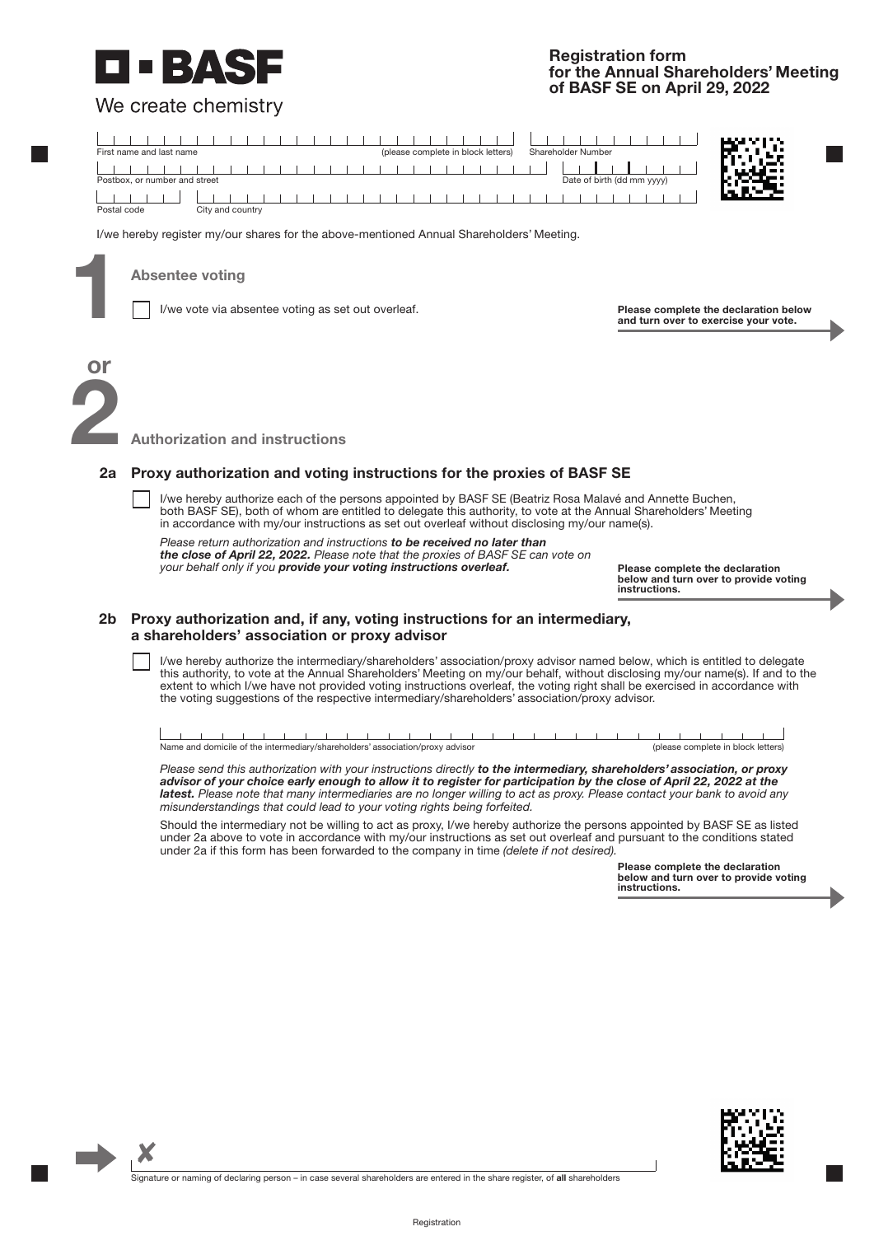## BAS

We create chemistry

## **Registration form for the Annual Shareholders' Meeting of BASF SE on April 29, 2022**



I/we hereby register my/our shares for the above-mentioned Annual Shareholders' Meeting.

**Absentee voting<br>
I/we vote via absentee voting as set out overleaf.** 

**Please complete the declaration below and turn over to exercise your vote.**

# **2 or**

 $\boldsymbol{\mathsf{x}}$ 

**Authorization and instructions**

#### **2a Proxy authorization and voting instructions for the proxies of BASF SE**

I/we hereby authorize each of the persons appointed by BASF SE (Beatriz Rosa Malavé and Annette Buchen, both BASF SE), both of whom are entitled to delegate this authority, to vote at the Annual Shareholders' Meeting in accordance with my/our instructions as set out overleaf without disclosing my/our name(s).

*Please return authorization and instructions in the enclosed prepaid envelope to be received no later to be received no later than*  the close of April 22, 2022. Please note that the proxies of BASF SE can vote on *can vote on your behalf only if you provide your voting instructions overleaf. your behalf only if you provide your voting instructions overleaf.*

**Please complete the declaration below and turn over to provide voting instructions.**

## **2b Proxy authorization and, if any, voting instructions for an intermediary, a shareholders' association or proxy advisor**

I/we hereby authorize the intermediary/shareholders' association/proxy advisor named below, which is entitled to delegate this authority, to vote at the Annual Shareholders' Meeting on my/our behalf, without disclosing my/our name(s). If and to the extent to which I/we have not provided voting instructions overleaf, the voting right shall be exercised in accordance with the voting suggestions of the respective intermediary/shareholders' association/proxy advisor.

| Name and domicile of the intermediary/shareholders' association/proxy advisor |  |  |  |  |  |  |  |  |  |  |  |  |  | : complete in block letters) |  |  |  |  |  |  |  |  |  |  |
|-------------------------------------------------------------------------------|--|--|--|--|--|--|--|--|--|--|--|--|--|------------------------------|--|--|--|--|--|--|--|--|--|--|

*Please send this authorization with your instructions directly to the intermediary, shareholders' association, or proxy advisor of your choice early enough to allow it to register for participation by the close of April 22, 2022 at the latest. the*  latest. Please note that many intermediaries are no longer willing to act as proxy. Please contact your bank to avoid any *Please contact your bank to avoid any misunderstandings that could lead to your voting rights being forfeited. misunderstandings that could lead to your voting rights being forfeited.*

Should the intermediary not be willing to act as proxy, I/we hereby authorize the persons appointed by BASF SE as listed under 2a above to vote in accordance with my/our instructions as set out overleaf and pursuant to the conditions stated under 2a if this form has been forwarded to the company in time *(delete if not desired)*.

> **Please complete the declaration below and turn over to provide voting instructions.**



Signature or naming of declaring person – in case several shareholders are entered in the share register, of **all** shareholders